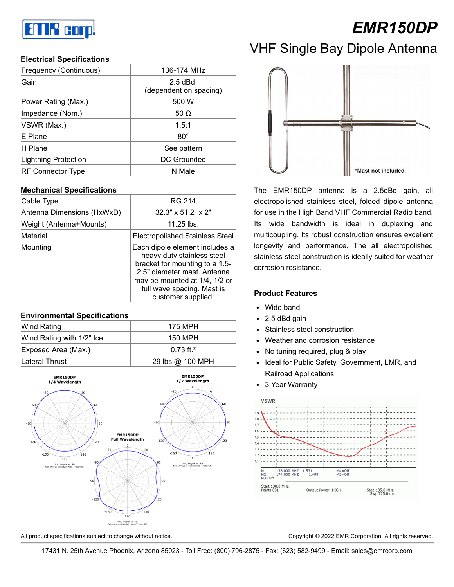# an P corp!

# *EMR150DP*

### **Electrical Specifications**

| 136-174 MHz                         |  |
|-------------------------------------|--|
| $2.5$ dBd<br>(dependent on spacing) |  |
| 500 W                               |  |
| 50 $\Omega$                         |  |
| 1.5:1                               |  |
| $80^\circ$                          |  |
| See pattern                         |  |
| DC Grounded                         |  |
| N Male                              |  |
|                                     |  |

### **Mechanical Specifications**

| Cable Type                 | RG 214                                                                                                                                                                                                             |
|----------------------------|--------------------------------------------------------------------------------------------------------------------------------------------------------------------------------------------------------------------|
| Antenna Dimensions (HxWxD) | $32.3" \times 51.2" \times 2"$                                                                                                                                                                                     |
| Weight (Antenna+Mounts)    | 11.25 lbs.                                                                                                                                                                                                         |
| Material                   | <b>Electropolished Stainless Steel</b>                                                                                                                                                                             |
| Mounting                   | Each dipole element includes a<br>heavy duty stainless steel<br>bracket for mounting to a 1.5-<br>2.5" diameter mast. Antenna<br>may be mounted at 1/4, 1/2 or<br>full wave spacing. Mast is<br>customer supplied. |

#### **Environmental Specifications**

| 150 MPH                 |
|-------------------------|
| $0.73$ ft. <sup>2</sup> |
| 29 lbs @ 100 MPH        |
|                         |





The EMR150DP antenna is a 2.5dBd gain, all electropolished stainless steel, folded dipole antenna for use in the High Band VHF Commercial Radio band. Its wide bandwidth is ideal in duplexing and multicoupling. Its robust construction ensures excellent longevity and performance. The all electropolished stainless steel construction is ideally suited for weather corrosion resistance.

#### **Product Features**

- Wide band
- 2.5 dBd gain
- Stainless steel construction  $\bullet$
- Weather and corrosion resistance
- No tuning required, plug & play
- Ideal for Public Safety, Government, LMR, and Railroad Applications
- 3 Year Warranty



All product specifications subject to change without notice. Copyright © 2022 EMR Corporation. All rights reserved.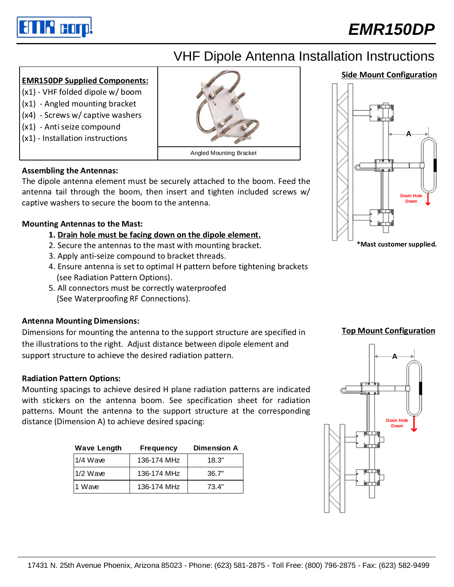

## *EMR150DP*

## VHF Dipole Antenna Installation Instructions

#### **EMR150DP Supplied Components:**

- (x1) VHF folded dipole w/ boom
- (x1) Angled mounting bracket
- (x4) Screws w/ captive washers
- (x1) Anti seize compound
- (x1) Installation instructions



Angled Mounting Bracket

#### **Assembling the Antennas:**

The dipole antenna element must be securely attached to the boom. Feed the antenna tail through the boom, then insert and tighten included screws w/ captive washers to secure the boom to the antenna.

### **Mounting Antennas to the Mast:**

- **1. Drain hole must be facing down on the dipole element.**
- 2. Secure the antennas to the mast with mounting bracket.
- 3. Apply anti-seize compound to bracket threads.
- 4. Ensure antenna is set to optimal H pattern before tightening brackets (see Radiation Pattern Options).
- 5. All connectors must be correctly waterproofed (See Waterproofing RF Connections).

### **Antenna Mounting Dimensions:**

Dimensions for mounting the antenna to the support structure are specified in the illustrations to the right. Adjust distance between dipole element and support structure to achieve the desired radiation pattern.

#### **Radiation Pattern Options:**

Mounting spacings to achieve desired H plane radiation patterns are indicated with stickers on the antenna boom. See specification sheet for radiation patterns. Mount the antenna to the support structure at the corresponding distance (Dimension A) to achieve desired spacing:

| <b>Wave Length</b> | <b>Frequency</b> | <b>Dimension A</b> |
|--------------------|------------------|--------------------|
| 1/4 Wave           | 136-174 MHz      | 18.3"              |
| $1/2$ Wave         | 136-174 MHz      | 36.7"              |
| 1 Wave             | 136-174 MHz      | 73.4"              |





**\*Mast customer supplied.**

#### **Top Mount Configuration**